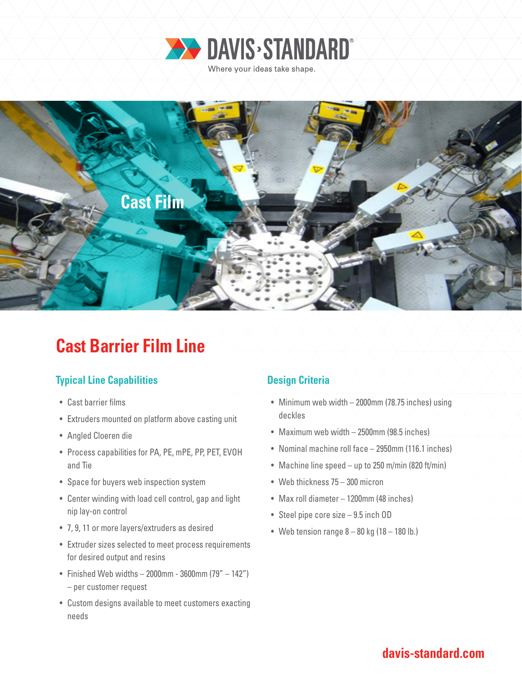



# **Cast Barrier Film Line**

## **Typical Line Capabilities Design Criteria**

- Cast barrier films
- Extruders mounted on platform above casting unit
- Angled Cloeren die
- Process capabilities for PA, PE, mPE, PP, PET, EVOH and Tie
- Space for buyers web inspection system
- Center winding with load cell control, gap and light nip lay-on control
- 7, 9, 11 or more layers/extruders as desired
- Extruder sizes selected to meet process requirements for desired output and resins
- Finished Web widths  $-2000$ mm 3600mm (79"  $-142$ ") – per customer request
- Custom designs available to meet customers exacting needs

- Minimum web width 2000mm (78.75 inches) using deckles
- Maximum web width 2500mm (98.5 inches)
- Nominal machine roll face 2950mm (116.1 inches)
- Machine line speed up to 250 m/min (820 ft/min)
- Web thickness 75 300 micron
- Max roll diameter 1200mm (48 inches)
- Steel pipe core size 9.5 inch OD
- Web tension range  $8 80$  kg (18 180 lb.)

## **davis-standard.com**